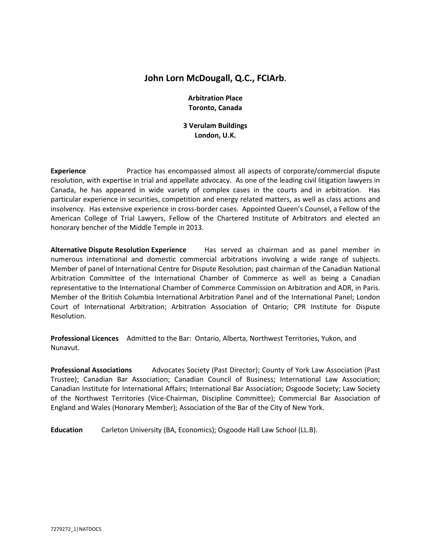# **John Lorn McDougall, Q.C., FCIArb.**

## **Arbitration Place Toronto, Canada**

**3 Verulam Buildings London, U.K.**

**Experience** Practice has encompassed almost all aspects of corporate/commercial dispute resolution, with expertise in trial and appellate advocacy. As one of the leading civil litigation lawyers in Canada, he has appeared in wide variety of complex cases in the courts and in arbitration. Has particular experience in securities, competition and energy related matters, as well as class actions and insolvency. Has extensive experience in cross-border cases. Appointed Queen's Counsel, a Fellow of the American College of Trial Lawyers, Fellow of the Chartered Institute of Arbitrators and elected an honorary bencher of the Middle Temple in 2013.

**Alternative Dispute Resolution Experience** Has served as chairman and as panel member in numerous international and domestic commercial arbitrations involving a wide range of subjects. Member of panel of International Centre for Dispute Resolution; past chairman of the Canadian National Arbitration Committee of the International Chamber of Commerce as well as being a Canadian representative to the International Chamber of Commerce Commission on Arbitration and ADR, in Paris. Member of the British Columbia International Arbitration Panel and of the International Panel; London Court of International Arbitration; Arbitration Association of Ontario; CPR Institute for Dispute Resolution.

**Professional Licences** Admitted to the Bar: Ontario, Alberta, Northwest Territories, Yukon, and Nunavut.

**Professional Associations** Advocates Society (Past Director); County of York Law Association (Past Trustee); Canadian Bar Association; Canadian Council of Business; International Law Association; Canadian Institute for International Affairs; International Bar Association; Osgoode Society; Law Society of the Northwest Territories (Vice-Chairman, Discipline Committee); Commercial Bar Association of England and Wales (Honorary Member); Association of the Bar of the City of New York.

**Education** Carleton University (BA, Economics); Osgoode Hall Law School (LL.B).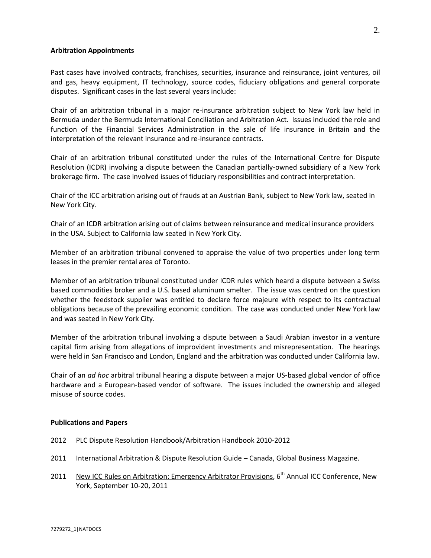### **Arbitration Appointments**

Past cases have involved contracts, franchises, securities, insurance and reinsurance, joint ventures, oil and gas, heavy equipment, IT technology, source codes, fiduciary obligations and general corporate disputes. Significant cases in the last several years include:

Chair of an arbitration tribunal in a major re-insurance arbitration subject to New York law held in Bermuda under the Bermuda International Conciliation and Arbitration Act. Issues included the role and function of the Financial Services Administration in the sale of life insurance in Britain and the interpretation of the relevant insurance and re-insurance contracts.

Chair of an arbitration tribunal constituted under the rules of the International Centre for Dispute Resolution (ICDR) involving a dispute between the Canadian partially-owned subsidiary of a New York brokerage firm. The case involved issues of fiduciary responsibilities and contract interpretation.

Chair of the ICC arbitration arising out of frauds at an Austrian Bank, subject to New York law, seated in New York City.

Chair of an ICDR arbitration arising out of claims between reinsurance and medical insurance providers in the USA. Subject to California law seated in New York City.

Member of an arbitration tribunal convened to appraise the value of two properties under long term leases in the premier rental area of Toronto.

Member of an arbitration tribunal constituted under ICDR rules which heard a dispute between a Swiss based commodities broker and a U.S. based aluminum smelter. The issue was centred on the question whether the feedstock supplier was entitled to declare force majeure with respect to its contractual obligations because of the prevailing economic condition. The case was conducted under New York law and was seated in New York City.

Member of the arbitration tribunal involving a dispute between a Saudi Arabian investor in a venture capital firm arising from allegations of improvident investments and misrepresentation. The hearings were held in San Francisco and London, England and the arbitration was conducted under California law.

Chair of an *ad hoc* arbitral tribunal hearing a dispute between a major US-based global vendor of office hardware and a European-based vendor of software. The issues included the ownership and alleged misuse of source codes.

### **Publications and Papers**

- 2012 PLC Dispute Resolution Handbook/Arbitration Handbook 2010-2012
- 2011 International Arbitration & Dispute Resolution Guide Canada, Global Business Magazine.
- 2011 New ICC Rules on Arbitration: Emergency Arbitrator Provisions, 6<sup>th</sup> Annual ICC Conference, New York, September 10-20, 2011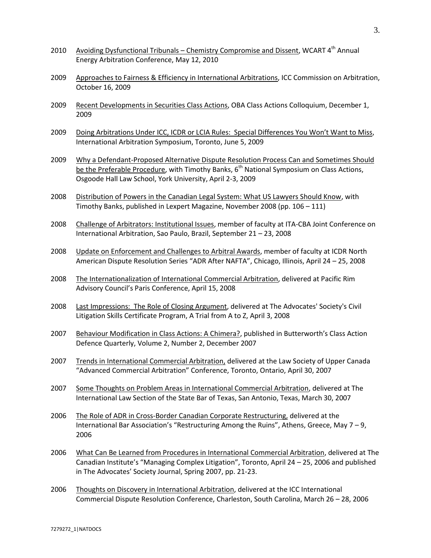- 2010 Avoiding Dysfunctional Tribunals Chemistry Compromise and Dissent, WCART 4<sup>th</sup> Annual Energy Arbitration Conference, May 12, 2010
- 2009 Approaches to Fairness & Efficiency in International Arbitrations, ICC Commission on Arbitration, October 16, 2009
- 2009 Recent Developments in Securities Class Actions, OBA Class Actions Colloquium, December 1, 2009
- 2009 Doing Arbitrations Under ICC, ICDR or LCIA Rules: Special Differences You Won't Want to Miss, International Arbitration Symposium, Toronto, June 5, 2009
- 2009 Why a Defendant-Proposed Alternative Dispute Resolution Process Can and Sometimes Should be the Preferable Procedure, with Timothy Banks,  $6<sup>th</sup>$  National Symposium on Class Actions, Osgoode Hall Law School, York University, April 2-3, 2009
- 2008 Distribution of Powers in the Canadian Legal System: What US Lawyers Should Know, with Timothy Banks, published in Lexpert Magazine, November 2008 (pp. 106 – 111)
- 2008 Challenge of Arbitrators: Institutional Issues, member of faculty at ITA-CBA Joint Conference on International Arbitration, Sao Paulo, Brazil, September 21 – 23, 2008
- 2008 Update on Enforcement and Challenges to Arbitral Awards, member of faculty at ICDR North American Dispute Resolution Series "ADR After NAFTA", Chicago, Illinois, April 24 – 25, 2008
- 2008 The Internationalization of International Commercial Arbitration, delivered at Pacific Rim Advisory Council's Paris Conference, April 15, 2008
- 2008 Last Impressions: The Role of Closing Argument, delivered at The Advocates' Society's Civil Litigation Skills Certificate Program, A Trial from A to Z, April 3, 2008
- 2007 Behaviour Modification in Class Actions: A Chimera?, published in Butterworth's Class Action Defence Quarterly, Volume 2, Number 2, December 2007
- 2007 Trends in International Commercial Arbitration, delivered at the Law Society of Upper Canada "Advanced Commercial Arbitration" Conference, Toronto, Ontario, April 30, 2007
- 2007 Some Thoughts on Problem Areas in International Commercial Arbitration, delivered at The International Law Section of the State Bar of Texas, San Antonio, Texas, March 30, 2007
- 2006 The Role of ADR in Cross-Border Canadian Corporate Restructuring, delivered at the International Bar Association's "Restructuring Among the Ruins", Athens, Greece, May 7 – 9, 2006
- 2006 What Can Be Learned from Procedures in International Commercial Arbitration, delivered at The Canadian Institute's "Managing Complex Litigation", Toronto, April 24 – 25, 2006 and published in The Advocates' Society Journal, Spring 2007, pp. 21-23.
- 2006 Thoughts on Discovery in International Arbitration, delivered at the ICC International Commercial Dispute Resolution Conference, Charleston, South Carolina, March 26 – 28, 2006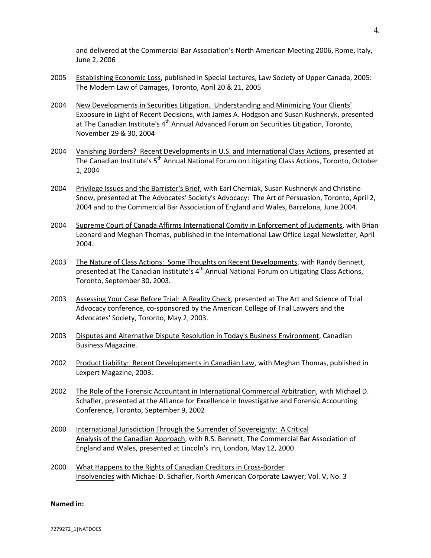and delivered at the Commercial Bar Association's North American Meeting 2006, Rome, Italy, June 2, 2006

- 2005 Establishing Economic Loss, published in Special Lectures, Law Society of Upper Canada, 2005: The Modern Law of Damages, Toronto, April 20 & 21, 2005
- 2004 New Developments in Securities Litigation. Understanding and Minimizing Your Clients' Exposure in Light of Recent Decisions, with James A. Hodgson and Susan Kushneryk, presented at The Canadian Institute's  $4<sup>th</sup>$  Annual Advanced Forum on Securities Litigation, Toronto, November 29 & 30, 2004
- 2004 Vanishing Borders? Recent Developments in U.S. and International Class Actions, presented at The Canadian Institute's 5<sup>th</sup> Annual National Forum on Litigating Class Actions, Toronto, October 1, 2004
- 2004 Privilege Issues and the Barrister's Brief, with Earl Cherniak, Susan Kushneryk and Christine Snow, presented at The Advocates' Society's Advocacy: The Art of Persuasion, Toronto, April 2, 2004 and to the Commercial Bar Association of England and Wales, Barcelona, June 2004.
- 2004 Supreme Court of Canada Affirms International Comity in Enforcement of Judgments, with Brian Leonard and Meghan Thomas, published in the International Law Office Legal Newsletter, April 2004.
- 2003 The Nature of Class Actions: Some Thoughts on Recent Developments, with Randy Bennett, presented at The Canadian Institute's  $4<sup>th</sup>$  Annual National Forum on Litigating Class Actions, Toronto, September 30, 2003.
- 2003 Assessing Your Case Before Trial: A Reality Check, presented at The Art and Science of Trial Advocacy conference, co-sponsored by the American College of Trial Lawyers and the Advocates' Society, Toronto, May 2, 2003.
- 2003 Disputes and Alternative Dispute Resolution in Today's Business Environment, Canadian Business Magazine.
- 2002 Product Liability: Recent Developments in Canadian Law, with Meghan Thomas, published in Lexpert Magazine, 2003.
- 2002 The Role of the Forensic Accountant in International Commercial Arbitration, with Michael D. Schafler, presented at the Alliance for Excellence in Investigative and Forensic Accounting Conference, Toronto, September 9, 2002
- 2000 International Jurisdiction Through the Surrender of Sovereignty: A Critical Analysis of the Canadian Approach, with R.S. Bennett, The Commercial Bar Association of England and Wales, presented at Lincoln's Inn, London, May 12, 2000
- 2000 What Happens to the Rights of Canadian Creditors in Cross-Border Insolvencies with Michael D. Schafler, North American Corporate Lawyer; Vol. V, No. 3

#### **Named in:**